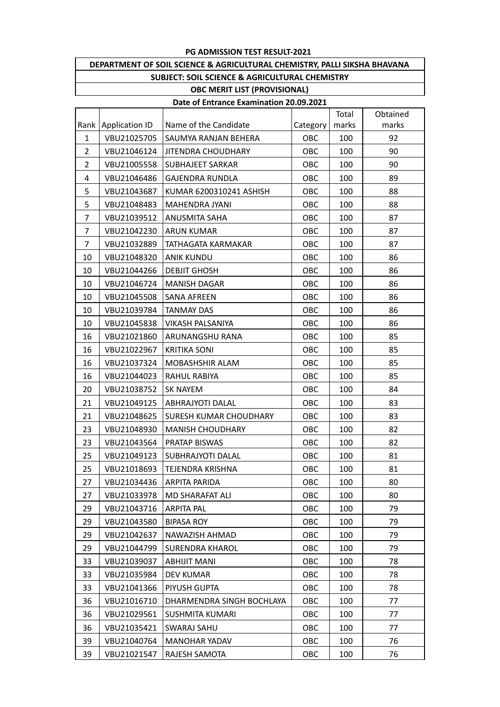### **PG ADMISSION TEST RESULT-2021**

### **DEPARTMENT OF SOIL SCIENCE & AGRICULTURAL CHEMISTRY, PALLI SIKSHA BHAVANA**

**SUBJECT: SOIL SCIENCE & AGRICULTURAL CHEMISTRY**

# **OBC MERIT LIST (PROVISIONAL)**

### **Date of Entrance Examination 20.09.2021**

|                |                       |                           |            | Total | Obtained |
|----------------|-----------------------|---------------------------|------------|-------|----------|
|                | Rank   Application ID | Name of the Candidate     | Category   | marks | marks    |
| $\mathbf{1}$   | VBU21025705           | SAUMYA RANJAN BEHERA      | OBC        | 100   | 92       |
| $\overline{2}$ | VBU21046124           | <b>JITENDRA CHOUDHARY</b> | OBC        | 100   | 90       |
| 2              | VBU21005558           | SUBHAJEET SARKAR          | OBC        | 100   | 90       |
| 4              | VBU21046486           | <b>GAJENDRA RUNDLA</b>    | OBC        | 100   | 89       |
| 5              | VBU21043687           | KUMAR 6200310241 ASHISH   | OBC        | 100   | 88       |
| 5              | VBU21048483           | MAHENDRA JYANI            | OBC        | 100   | 88       |
| $\overline{7}$ | VBU21039512           | <b>ANUSMITA SAHA</b>      | OBC        | 100   | 87       |
| 7              | VBU21042230           | <b>ARUN KUMAR</b>         | OBC        | 100   | 87       |
| $\overline{7}$ | VBU21032889           | TATHAGATA KARMAKAR        | OBC        | 100   | 87       |
| 10             | VBU21048320           | <b>ANIK KUNDU</b>         | OBC        | 100   | 86       |
| 10             | VBU21044266           | <b>DEBJIT GHOSH</b>       | OBC        | 100   | 86       |
| 10             | VBU21046724           | <b>MANISH DAGAR</b>       | OBC        | 100   | 86       |
| 10             | VBU21045508           | SANA AFREEN               | OBC        | 100   | 86       |
| 10             | VBU21039784           | <b>TANMAY DAS</b>         | OBC        | 100   | 86       |
| 10             | VBU21045838           | <b>VIKASH PALSANIYA</b>   | OBC        | 100   | 86       |
| 16             | VBU21021860           | ARUNANGSHU RANA           | OBC        | 100   | 85       |
| 16             | VBU21022967           | <b>KRITIKA SONI</b>       | OBC        | 100   | 85       |
| 16             | VBU21037324           | MOBASHSHIR ALAM           | OBC        | 100   | 85       |
| 16             | VBU21044023           | RAHUL RABIYA              | OBC        | 100   | 85       |
| 20             | VBU21038752           | <b>SK NAYEM</b>           | OBC        | 100   | 84       |
| 21             | VBU21049125           | <b>ABHRAJYOTI DALAL</b>   | OBC        | 100   | 83       |
| 21             | VBU21048625           | SURESH KUMAR CHOUDHARY    | OBC        | 100   | 83       |
| 23             | VBU21048930           | <b>MANISH CHOUDHARY</b>   | OBC        | 100   | 82       |
| 23             | VBU21043564           | PRATAP BISWAS             | OBC        | 100   | 82       |
| 25             | VBU21049123           | SUBHRAJYOTI DALAL         | OBC        | 100   | 81       |
| 25             | VBU21018693           | <b>TEJENDRA KRISHNA</b>   | OBC        | 100   | 81       |
| 27             | VBU21034436           | <b>ARPITA PARIDA</b>      | <b>OBC</b> | 100   | 80       |
| 27             | VBU21033978           | MD SHARAFAT ALI           | OBC        | 100   | 80       |
| 29             | VBU21043716           | <b>ARPITA PAL</b>         | OBC        | 100   | 79       |
| 29             | VBU21043580           | <b>BIPASA ROY</b>         | OBC        | 100   | 79       |
| 29             | VBU21042637           | NAWAZISH AHMAD            | OBC        | 100   | 79       |
| 29             | VBU21044799           | SURENDRA KHAROL           | OBC        | 100   | 79       |
| 33             | VBU21039037           | <b>ABHIJIT MANI</b>       | OBC        | 100   | 78       |
| 33             | VBU21035984           | <b>DEV KUMAR</b>          | OBC        | 100   | 78       |
| 33             | VBU21041366           | PIYUSH GUPTA              | OBC        | 100   | 78       |
| 36             | VBU21016710           | DHARMENDRA SINGH BOCHLAYA | OBC        | 100   | 77       |
| 36             | VBU21029561           | SUSHMITA KUMARI           | OBC        | 100   | 77       |
| 36             | VBU21035421           | <b>SWARAJ SAHU</b>        | OBC        | 100   | 77       |
| 39             | VBU21040764           | MANOHAR YADAV             | OBC        | 100   | 76       |
| 39             | VBU21021547           | RAJESH SAMOTA             | OBC        | 100   | 76       |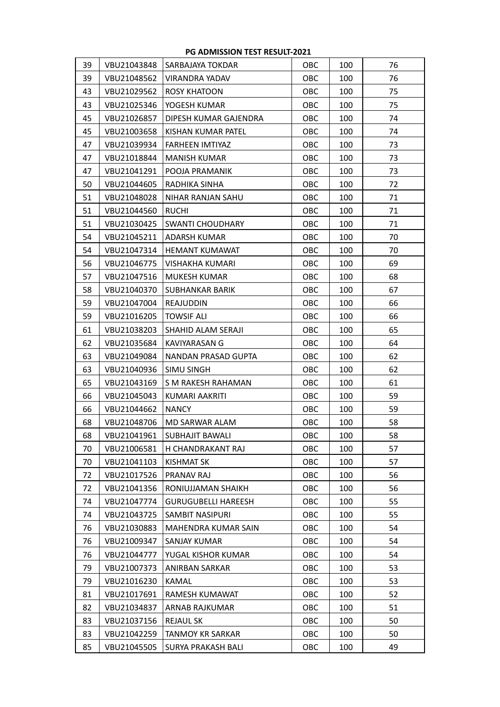| 39 | VBU21043848 | <b>SARBAJAYA TOKDAR</b>    | OBC | 100 | 76 |
|----|-------------|----------------------------|-----|-----|----|
| 39 | VBU21048562 | <b>VIRANDRA YADAV</b>      | OBC | 100 | 76 |
| 43 | VBU21029562 | <b>ROSY KHATOON</b>        | OBC | 100 | 75 |
| 43 | VBU21025346 | YOGESH KUMAR               | OBC | 100 | 75 |
| 45 | VBU21026857 | DIPESH KUMAR GAJENDRA      | OBC | 100 | 74 |
| 45 | VBU21003658 | KISHAN KUMAR PATEL         | OBC | 100 | 74 |
| 47 | VBU21039934 | <b>FARHEEN IMTIYAZ</b>     | OBC | 100 | 73 |
| 47 | VBU21018844 | <b>MANISH KUMAR</b>        | OBC | 100 | 73 |
| 47 | VBU21041291 | POOJA PRAMANIK             | OBC | 100 | 73 |
| 50 | VBU21044605 | RADHIKA SINHA              | OBC | 100 | 72 |
| 51 | VBU21048028 | NIHAR RANJAN SAHU          | OBC | 100 | 71 |
| 51 | VBU21044560 | <b>RUCHI</b>               | OBC | 100 | 71 |
| 51 | VBU21030425 | <b>SWANTI CHOUDHARY</b>    | OBC | 100 | 71 |
| 54 | VBU21045211 | <b>ADARSH KUMAR</b>        | OBC | 100 | 70 |
| 54 | VBU21047314 | <b>HEMANT KUMAWAT</b>      | OBC | 100 | 70 |
| 56 | VBU21046775 | <b>VISHAKHA KUMARI</b>     | OBC | 100 | 69 |
| 57 | VBU21047516 | <b>MUKESH KUMAR</b>        | OBC | 100 | 68 |
| 58 | VBU21040370 | <b>SUBHANKAR BARIK</b>     | OBC | 100 | 67 |
| 59 | VBU21047004 | REAJUDDIN                  | OBC | 100 | 66 |
| 59 | VBU21016205 | <b>TOWSIF ALI</b>          | OBC | 100 | 66 |
| 61 | VBU21038203 | SHAHID ALAM SERAJI         | OBC | 100 | 65 |
| 62 | VBU21035684 | KAVIYARASAN G              | OBC | 100 | 64 |
| 63 | VBU21049084 | NANDAN PRASAD GUPTA        | OBC | 100 | 62 |
| 63 | VBU21040936 | <b>SIMU SINGH</b>          | OBC | 100 | 62 |
| 65 | VBU21043169 | S M RAKESH RAHAMAN         | OBC | 100 | 61 |
| 66 | VBU21045043 | KUMARI AAKRITI             | OBC | 100 | 59 |
| 66 | VBU21044662 | <b>NANCY</b>               | OBC | 100 | 59 |
| 68 | VBU21048706 | MD SARWAR ALAM             | OBC | 100 | 58 |
| 68 | VBU21041961 | SUBHAJIT BAWALI            | OBC | 100 | 58 |
| 70 | VBU21006581 | H CHANDRAKANT RAJ          | OBC | 100 | 57 |
| 70 | VBU21041103 | KISHMAT SK                 | OBC | 100 | 57 |
| 72 | VBU21017526 | PRANAV RAJ                 | OBC | 100 | 56 |
| 72 | VBU21041356 | RONIUJJAMAN SHAIKH         | OBC | 100 | 56 |
| 74 | VBU21047774 | <b>GURUGUBELLI HAREESH</b> | OBC | 100 | 55 |
| 74 | VBU21043725 | SAMBIT NASIPURI            | OBC | 100 | 55 |
| 76 | VBU21030883 | MAHENDRA KUMAR SAIN        | OBC | 100 | 54 |
| 76 | VBU21009347 | SANJAY KUMAR               | OBC | 100 | 54 |
| 76 | VBU21044777 | YUGAL KISHOR KUMAR         | OBC | 100 | 54 |
| 79 | VBU21007373 | ANIRBAN SARKAR             | OBC | 100 | 53 |
| 79 | VBU21016230 | KAMAL                      | OBC | 100 | 53 |
| 81 | VBU21017691 | RAMESH KUMAWAT             | OBC | 100 | 52 |
| 82 | VBU21034837 | ARNAB RAJKUMAR             | OBC | 100 | 51 |
| 83 | VBU21037156 | <b>REJAUL SK</b>           | OBC | 100 | 50 |
| 83 | VBU21042259 | <b>TANMOY KR SARKAR</b>    | OBC | 100 | 50 |
| 85 | VBU21045505 | SURYA PRAKASH BALI         | OBC | 100 | 49 |

# **PG ADMISSION TEST RESULT-2021**